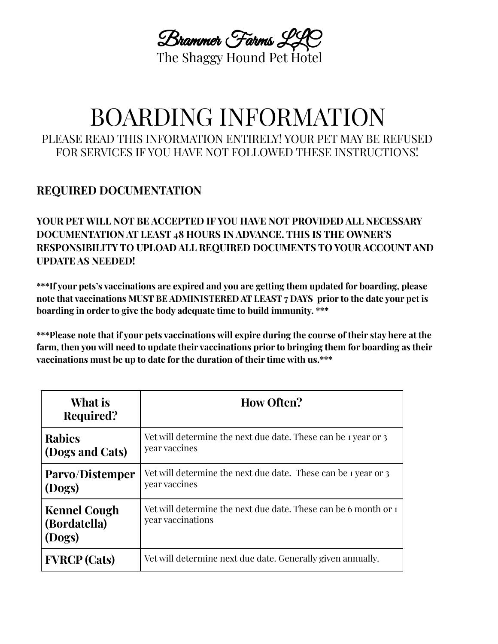Brammer Farms LLC The Shaggy Hound Pet Hotel

# BOARDING INFORMATION PLEASE READ THIS INFORMATION ENTIRELY! YOUR PET MAY BE REFUSED FOR SERVICES IF YOU HAVE NOT FOLLOWED THESE INSTRUCTIONS!

### **REQUIRED DOCUMENTATION**

**YOUR PET WILL NOT BE ACCEPTED IF YOU HAVE NOT PROVIDED ALL NECESSARY DOCUMENTATION AT LEAST 48 HOURS IN ADVANCE. THIS IS THE OWNER'S RESPONSIBILITY TO UPLOAD ALL REQUIRED DOCUMENTS TO YOUR ACCOUNT AND UPDATE AS NEEDED!**

**\*\*\*If your pets's vaccinations are expired and you are getting them updated for boarding, please note that vaccinations MUST BE ADMINISTERED AT LEAST 7 DAYS prior to the date your pet is boarding in order to give the body adequate time to build immunity. \*\*\***

\*\*\*Please note that if your pets vaccinations will expire during the course of their stay here at the **farm, then you will need to update their vaccinations prior to bringing them for boarding as their vaccinations must be up to date for the duration of their time with us.\*\*\***

| What is<br>Required?                          | <b>How Often?</b>                                                                    |
|-----------------------------------------------|--------------------------------------------------------------------------------------|
| <b>Rabies</b><br>(Dogs and Cats)              | Vet will determine the next due date. These can be 1 year or 3<br>year vaccines      |
| Parvo/Distemper<br>(Dogs)                     | Vet will determine the next due date. These can be 1 year or 3<br>year vaccines      |
| <b>Kennel Cough</b><br>(Bordatella)<br>(Dogs) | Vet will determine the next due date. These can be 6 month or 1<br>year vaccinations |
| <b>FVRCP</b> (Cats)                           | Vet will determine next due date. Generally given annually.                          |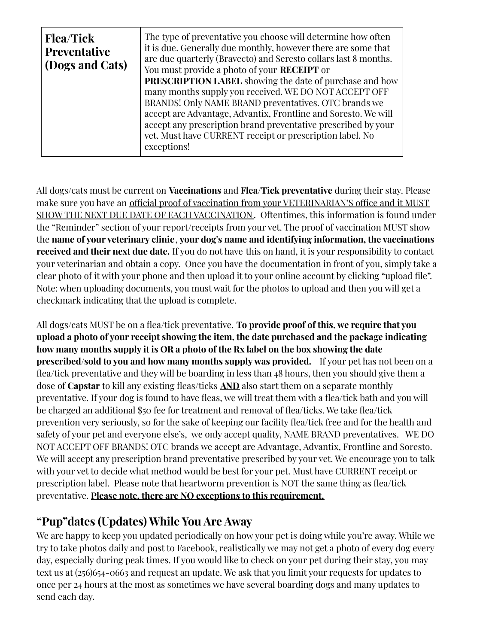| <b>Flea/Tick</b><br><b>Preventative</b><br>(Dogs and Cats) | The type of preventative you choose will determine how often<br>it is due. Generally due monthly, however there are some that<br>are due quarterly (Bravecto) and Seresto collars last 8 months.<br>You must provide a photo of your <b>RECEIPT</b> or<br><b>PRESCRIPTION LABEL</b> showing the date of purchase and how<br>many months supply you received. WE DO NOT ACCEPT OFF<br>BRANDS! Only NAME BRAND preventatives. OTC brands we<br>accept are Advantage, Advantix, Frontline and Soresto. We will<br>accept any prescription brand preventative prescribed by your<br>vet. Must have CURRENT receipt or prescription label. No<br>exceptions! |
|------------------------------------------------------------|---------------------------------------------------------------------------------------------------------------------------------------------------------------------------------------------------------------------------------------------------------------------------------------------------------------------------------------------------------------------------------------------------------------------------------------------------------------------------------------------------------------------------------------------------------------------------------------------------------------------------------------------------------|
|                                                            |                                                                                                                                                                                                                                                                                                                                                                                                                                                                                                                                                                                                                                                         |

All dogs/cats must be current on **Vaccinations** and **Flea/Tick preventative** during their stay. Please make sure you have an official proof of vaccination from your VETERINARIAN'S office and it MUST SHOW THE NEXT DUE DATE OF EACH VACCINATION. Oftentimes, this information is found under the "Reminder" section of your report/receipts from your vet. The proof of vaccination MUST show the **name of your veterinary clinic**, **your dog's name and identifying information, the vaccinations received and their next due date.** If you do not have this on hand, it is your responsibility to contact your veterinarian and obtain a copy. Once you have the documentation in front of you, simply take a clear photo of it with your phone and then upload it to your online account by clicking "upload file". Note: when uploading documents, you must wait for the photos to upload and then you will get a checkmark indicating that the upload is complete.

All dogs/cats MUST be on a flea/tick preventative. **To provide proof of this, we require that you upload a photo of your receipt showing the item, the date purchased and the package indicating how many months supply it is OR a photo of the Rx label on the box showing the date prescribed/sold to you and how many months supply was provided.** If your pet has not been on a flea/tick preventative and they will be boarding in less than 48 hours, then you should give them a dose of **Capstar** to kill any existing fleas/ticks **AND** also start them on a separate monthly preventative. If your dog is found to have fleas, we will treat them with a flea/tick bath and you will be charged an additional \$50 fee for treatment and removal of flea/ticks. We take flea/tick prevention very seriously, so for the sake of keeping our facility flea/tick free and for the health and safety of your pet and everyone else's, we only accept quality, NAME BRAND preventatives. WE DO NOT ACCEPT OFF BRANDS! OTC brands we accept are Advantage, Advantix, Frontline and Soresto. We will accept any prescription brand preventative prescribed by your vet. We encourage you to talk with your vet to decide what method would be best for your pet. Must have CURRENT receipt or prescription label. Please note that heartworm prevention is NOT the same thing as flea/tick preventative. **Please note, there are NO exceptions to this requirement.**

## **"Pup"dates (Updates) While You Are Away**

We are happy to keep you updated periodically on how your pet is doing while you're away. While we try to take photos daily and post to Facebook, realistically we may not get a photo of every dog every day, especially during peak times. If you would like to check on your pet during their stay, you may text us at (256)654-0663 and request an update. We ask that you limit your requests for updates to once per 24 hours at the most as sometimes we have several boarding dogs and many updates to send each day.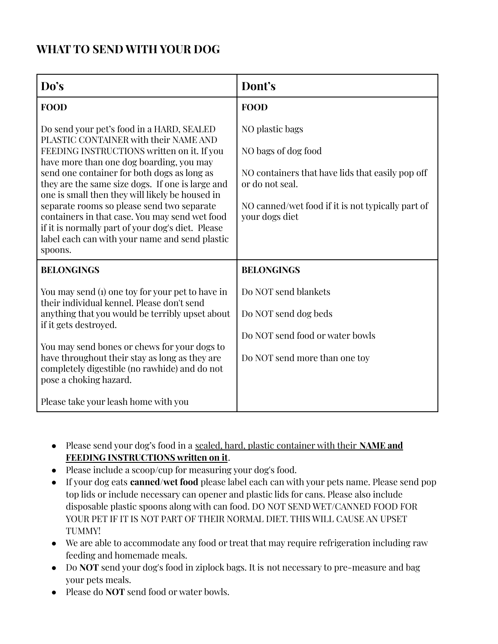### **WHAT TO SEND WITH YOUR DOG**

| Do's                                                                                                                                                                                                                                                                                                                                                                                                                                                                                                                                                 | Dont's                                                                                                                                                                               |  |
|------------------------------------------------------------------------------------------------------------------------------------------------------------------------------------------------------------------------------------------------------------------------------------------------------------------------------------------------------------------------------------------------------------------------------------------------------------------------------------------------------------------------------------------------------|--------------------------------------------------------------------------------------------------------------------------------------------------------------------------------------|--|
| <b>FOOD</b>                                                                                                                                                                                                                                                                                                                                                                                                                                                                                                                                          | <b>FOOD</b>                                                                                                                                                                          |  |
| Do send your pet's food in a HARD, SEALED<br>PLASTIC CONTAINER with their NAME AND<br>FEEDING INSTRUCTIONS written on it. If you<br>have more than one dog boarding, you may<br>send one container for both dogs as long as<br>they are the same size dogs. If one is large and<br>one is small then they will likely be housed in<br>separate rooms so please send two separate<br>containers in that case. You may send wet food<br>if it is normally part of your dog's diet. Please<br>label each can with your name and send plastic<br>spoons. | NO plastic bags<br>NO bags of dog food<br>NO containers that have lids that easily pop off<br>or do not seal.<br>NO canned/wet food if it is not typically part of<br>your dogs diet |  |
| <b>BELONGINGS</b>                                                                                                                                                                                                                                                                                                                                                                                                                                                                                                                                    | <b>BELONGINGS</b>                                                                                                                                                                    |  |
| You may send (1) one toy for your pet to have in<br>their individual kennel. Please don't send<br>anything that you would be terribly upset about<br>if it gets destroyed.<br>You may send bones or chews for your dogs to<br>have throughout their stay as long as they are<br>completely digestible (no rawhide) and do not<br>pose a choking hazard.                                                                                                                                                                                              | Do NOT send blankets<br>Do NOT send dog beds<br>Do NOT send food or water bowls<br>Do NOT send more than one toy                                                                     |  |
| Please take your leash home with you                                                                                                                                                                                                                                                                                                                                                                                                                                                                                                                 |                                                                                                                                                                                      |  |

- Please send your dog's food in a sealed, hard, plastic container with their **NAME and FEEDING INSTRUCTIONS written on it**.
- Please include a scoop/cup for measuring your dog's food.
- If your dog eats **canned/wet food** please label each can with your pets name. Please send pop top lids or include necessary can opener and plastic lids for cans. Please also include disposable plastic spoons along with can food. DO NOT SEND WET/CANNED FOOD FOR YOUR PET IF IT IS NOT PART OF THEIR NORMAL DIET. THIS WILL CAUSE AN UPSET TUMMY!
- We are able to accommodate any food or treat that may require refrigeration including raw feeding and homemade meals.
- Do **NOT** send your dog's food in ziplock bags. It is not necessary to pre-measure and bag your pets meals.
- Please do **NOT** send food or water bowls.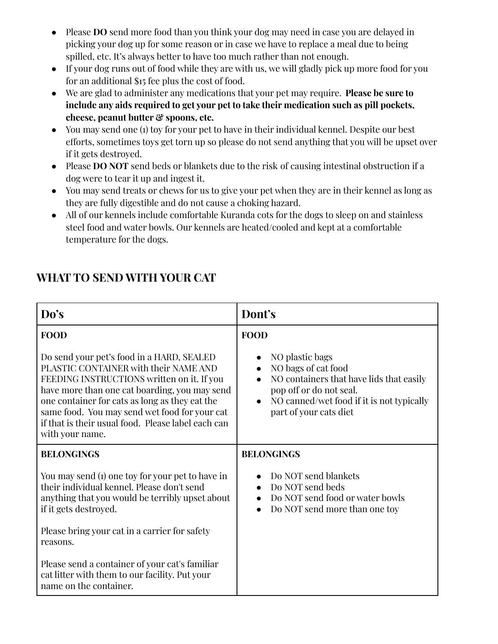- Please **DO** send more food than you think your dog may need in case you are delayed in picking your dog up for some reason or in case we have to replace a meal due to being spilled, etc. It's always better to have too much rather than not enough.
- If your dog runs out of food while they are with us, we will gladly pick up more food for you for an additional \$15 fee plus the cost of food.
- We are glad to administer any medications that your pet may require. **Please be sure to include any aids required to get your pet to take their medication such as pill pockets, cheese, peanut butter & spoons, etc.**
- You may send one (1) toy for your pet to have in their individual kennel. Despite our best efforts, sometimes toys get torn up so please do not send anything that you will be upset over if it gets destroyed.
- Please **DO NOT** send beds or blankets due to the risk of causing intestinal obstruction if a dog were to tear it up and ingest it.
- You may send treats or chews for us to give your pet when they are in their kennel as long as they are fully digestible and do not cause a choking hazard.
- All of our kennels include comfortable Kuranda cots for the dogs to sleep on and stainless steel food and water bowls. Our kennels are heated/cooled and kept at a comfortable temperature for the dogs.

#### **Do's Dont's FOOD** Do send your pet's food in a HARD, SEALED PLASTIC CONTAINER with their NAME AND FEEDING INSTRUCTIONS written on it. If you have more than one cat boarding, you may send one container for cats as long as they eat the same food. You may send wet food for your cat if that is their usual food. Please label each can with your name. **FOOD** • NO plastic bags • NO bags of cat food • NO containers that have lids that easily pop off or do not seal. NO canned/wet food if it is not typically part of your cats diet **BELONGINGS** You may send (1) one toy for your pet to have in their individual kennel. Please don't send anything that you would be terribly upset about if it gets destroyed. Please bring your cat in a carrier for safety reasons. Please send a container of your cat's familiar cat litter with them to our facility. Put your name on the container. **BELONGINGS** ● Do NOT send blankets ● Do NOT send beds ● Do NOT send food or water bowls • Do NOT send more than one toy

# **WHAT TO SEND WITH YOUR CAT**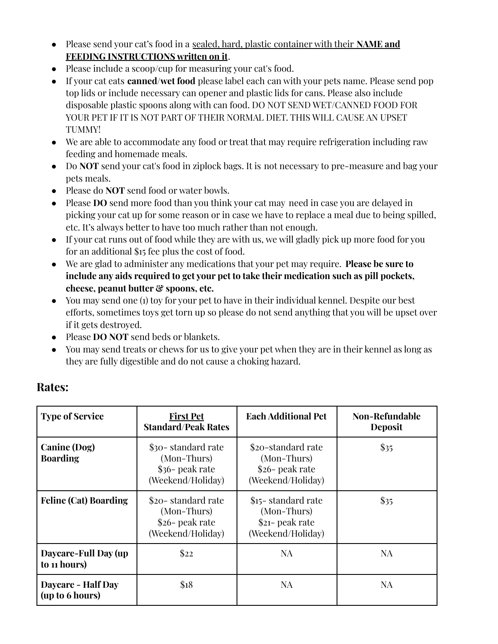- Please send your cat's food in a sealed, hard, plastic container with their **NAME and FEEDING INSTRUCTIONS written on it**.
- Please include a scoop/cup for measuring your cat's food.
- If your cat eats **canned/wet food** please label each can with your pets name. Please send pop top lids or include necessary can opener and plastic lids for cans. Please also include disposable plastic spoons along with can food. DO NOT SEND WET/CANNED FOOD FOR YOUR PET IF IT IS NOT PART OF THEIR NORMAL DIET. THIS WILL CAUSE AN UPSET TUMMY!
- We are able to accommodate any food or treat that may require refrigeration including raw feeding and homemade meals.
- Do **NOT** send your cat's food in ziplock bags. It is not necessary to pre-measure and bag your pets meals.
- Please do **NOT** send food or water bowls.
- Please **DO** send more food than you think your cat may need in case you are delayed in picking your cat up for some reason or in case we have to replace a meal due to being spilled, etc. It's always better to have too much rather than not enough.
- If your cat runs out of food while they are with us, we will gladly pick up more food for you for an additional \$15 fee plus the cost of food.
- We are glad to administer any medications that your pet may require. **Please be sure to include any aids required to get your pet to take their medication such as pill pockets, cheese, peanut butter & spoons, etc.**
- You may send one (1) toy for your pet to have in their individual kennel. Despite our best efforts, sometimes toys get torn up so please do not send anything that you will be upset over if it gets destroyed.
- Please **DO NOT** send beds or blankets.
- You may send treats or chews for us to give your pet when they are in their kennel as long as they are fully digestible and do not cause a choking hazard.

| <b>Type of Service</b>                       | <b>First Pet</b><br><b>Standard/Peak Rates</b>                            | <b>Each Additional Pet</b>                                                   | <b>Non-Refundable</b><br><b>Deposit</b> |
|----------------------------------------------|---------------------------------------------------------------------------|------------------------------------------------------------------------------|-----------------------------------------|
| <b>Canine (Dog)</b><br><b>Boarding</b>       | \$30-standard rate<br>(Mon-Thurs)<br>\$36- peak rate<br>(Weekend/Holiday) | \$20-standard rate<br>(Mon-Thurs)<br>\$26- peak rate<br>(Weekend/Holiday)    | \$35                                    |
| <b>Feline (Cat) Boarding</b>                 | \$20-standard rate<br>(Mon-Thurs)<br>\$26- peak rate<br>(Weekend/Holiday) | \$15 - standard rate<br>(Mon-Thurs)<br>$21$ - peak rate<br>(Weekend/Holiday) | $\mathbb{S}35$                          |
| Daycare-Full Day (up<br>to 11 hours)         | \$22                                                                      | NA                                                                           | NA                                      |
| <b>Daycare - Half Day</b><br>(up to 6 hours) | \$18                                                                      | NA                                                                           | NA                                      |

### **Rates:**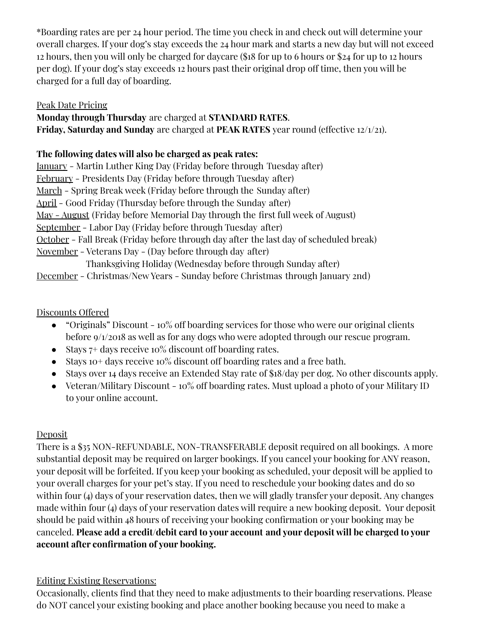\*Boarding rates are per 24 hour period. The time you check in and check out will determine your overall charges. If your dog's stay exceeds the 24 hour mark and starts a new day but will not exceed 12 hours, then you will only be charged for daycare (\$18 for up to 6 hours or \$24 for up to 12 hours per dog). If your dog's stay exceeds 12 hours past their original drop off time, then you will be charged for a full day of boarding.

#### Peak Date Pricing

#### **Monday through Thursday** are charged at **STANDARD RATES**. **Friday, Saturday and Sunday** are charged at **PEAK RATES** year round (effective 12/1/21).

#### **The following dates will also be charged as peak rates:**

| <u> January</u> - Martin Luther King Day (Friday before through Tuesday after)                |
|-----------------------------------------------------------------------------------------------|
| February - Presidents Day (Friday before through Tuesday after)                               |
| <u>March</u> – Spring Break week (Friday before through the Sunday after)                     |
| <u>April</u> - Good Friday (Thursday before through the Sunday after)                         |
| <u>May - August</u> (Friday before Memorial Day through the first full week of August)        |
| <u>September</u> - Labor Day (Friday before through Tuesday after)                            |
| <u>October</u> - Fall Break (Friday before through day after the last day of scheduled break) |
| <u>November</u> - Veterans Day - (Day before through day after)                               |
| Thanksgiving Holiday (Wednesday before through Sunday after)                                  |
| <u> December</u> - Christmas/New Years - Sunday before Christmas through January 2nd)         |

#### Discounts Offered

- "Originals" Discount 10% off boarding services for those who were our original clients before 9/1/2018 as well as for any dogs who were adopted through our rescue program.
- Stays  $7+$  days receive 10% discount off boarding rates.
- Stays 10+ days receive 10% discount off boarding rates and a free bath.
- Stays over 14 days receive an Extended Stay rate of \$18/day per dog. No other discounts apply.
- Veteran/Military Discount  $10\%$  off boarding rates. Must upload a photo of your Military ID to your online account.

### Deposit

There is a \$35 NON-REFUNDABLE, NON-TRANSFERABLE deposit required on all bookings. A more substantial deposit may be required on larger bookings. If you cancel your booking for ANY reason, your deposit will be forfeited. If you keep your booking as scheduled, your deposit will be applied to your overall charges for your pet's stay. If you need to reschedule your booking dates and do so within four (4) days of your reservation dates, then we will gladly transfer your deposit. Any changes made within four (4) days of your reservation dates will require a new booking deposit. Your deposit should be paid within 48 hours of receiving your booking confirmation or your booking may be canceled. **Please add a credit/debit card to your account and your deposit will be charged to your account after confirmation of your booking.**

### Editing Existing Reservations:

Occasionally, clients find that they need to make adjustments to their boarding reservations. Please do NOT cancel your existing booking and place another booking because you need to make a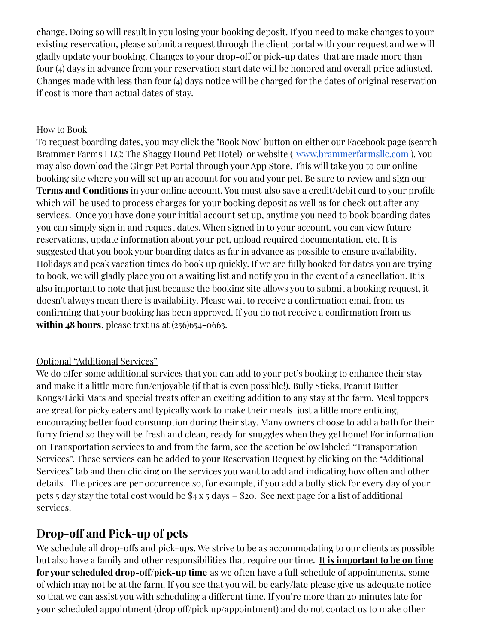change. Doing so will result in you losing your booking deposit. If you need to make changes to your existing reservation, please submit a request through the client portal with your request and we will gladly update your booking. Changes to your drop-off or pick-up dates that are made more than four (4) days in advance from your reservation start date will be honored and overall price adjusted. Changes made with less than four (4) days notice will be charged for the dates of original reservation if cost is more than actual dates of stay.

#### How to Book

To request boarding dates, you may click the "Book Now" button on either our Facebook page (search Brammer Farms LLC: The Shaggy Hound Pet Hotel) or website ( [www.brammerfarmsllc.com](http://www.brammerfarmsllc.com) ). You may also download the Gingr Pet Portal through your App Store. This will take you to our online booking site where you will set up an account for you and your pet. Be sure to review and sign our **Terms and Conditions** in your online account. You must also save a credit/debit card to your profile which will be used to process charges for your booking deposit as well as for check out after any services. Once you have done your initial account set up, anytime you need to book boarding dates you can simply sign in and request dates. When signed in to your account, you can view future reservations, update information about your pet, upload required documentation, etc. It is suggested that you book your boarding dates as far in advance as possible to ensure availability. Holidays and peak vacation times do book up quickly. If we are fully booked for dates you are trying to book, we will gladly place you on a waiting list and notify you in the event of a cancellation. It is also important to note that just because the booking site allows you to submit a booking request, it doesn't always mean there is availability. Please wait to receive a confirmation email from us confirming that your booking has been approved. If you do not receive a confirmation from us **within 48 hours**, please text us at (256)654-0663.

#### Optional "Additional Services"

We do offer some additional services that you can add to your pet's booking to enhance their stay and make it a little more fun/enjoyable (if that is even possible!). Bully Sticks, Peanut Butter Kongs/Licki Mats and special treats offer an exciting addition to any stay at the farm. Meal toppers are great for picky eaters and typically work to make their meals just a little more enticing, encouraging better food consumption during their stay. Many owners choose to add a bath for their furry friend so they will be fresh and clean, ready for snuggles when they get home! For information on Transportation services to and from the farm, see the section below labeled "Transportation Services". These services can be added to your Reservation Request by clicking on the "Additional Services" tab and then clicking on the services you want to add and indicating how often and other details. The prices are per occurrence so, for example, if you add a bully stick for every day of your pets 5 day stay the total cost would be  $$4 \times 5 \text{ days} = $20$ . See next page for a list of additional services.

### **Drop-off and Pick-up of pets**

We schedule all drop-offs and pick-ups. We strive to be as accommodating to our clients as possible but also have a family and other responsibilities that require our time. **It is important to be on time for your scheduled drop-off/pick-up time** as we often have a full schedule of appointments, some of which may not be at the farm. If you see that you will be early/late please give us adequate notice so that we can assist you with scheduling a different time. If you're more than 20 minutes late for your scheduled appointment (drop off/pick up/appointment) and do not contact us to make other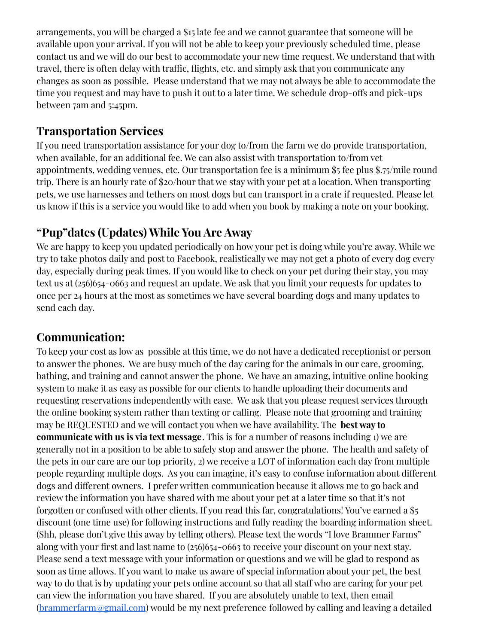arrangements, you will be charged a \$15 late fee and we cannot guarantee that someone will be available upon your arrival. If you will not be able to keep your previously scheduled time, please contact us and we will do our best to accommodate your new time request. We understand that with travel, there is often delay with traffic, flights, etc. and simply ask that you communicate any changes as soon as possible. Please understand that we may not always be able to accommodate the time you request and may have to push it out to a later time. We schedule drop-offs and pick-ups between 7am and 5:45pm.

### **Transportation Services**

If you need transportation assistance for your dog to/from the farm we do provide transportation, when available, for an additional fee. We can also assist with transportation to/from vet appointments, wedding venues, etc. Our transportation fee is a minimum \$5 fee plus \$.75/mile round trip. There is an hourly rate of \$20/hour that we stay with your pet at a location. When transporting pets, we use harnesses and tethers on most dogs but can transport in a crate if requested. Please let us know if this is a service you would like to add when you book by making a note on your booking.

# **"Pup"dates (Updates) While You Are Away**

We are happy to keep you updated periodically on how your pet is doing while you're away. While we try to take photos daily and post to Facebook, realistically we may not get a photo of every dog every day, especially during peak times. If you would like to check on your pet during their stay, you may text us at (256)654-0663 and request an update. We ask that you limit your requests for updates to once per 24 hours at the most as sometimes we have several boarding dogs and many updates to send each day.

## **Communication:**

To keep your cost as low as possible at this time, we do not have a dedicated receptionist or person to answer the phones. We are busy much of the day caring for the animals in our care, grooming, bathing, and training and cannot answer the phone. We have an amazing, intuitive online booking system to make it as easy as possible for our clients to handle uploading their documents and requesting reservations independently with ease. We ask that you please request services through the online booking system rather than texting or calling. Please note that grooming and training may be REQUESTED and we will contact you when we have availability. The **best way to communicate with us is via text message**. This is for a number of reasons including 1) we are generally not in a position to be able to safely stop and answer the phone. The health and safety of the pets in our care are our top priority, 2) we receive a LOT of information each day from multiple people regarding multiple dogs. As you can imagine, it's easy to confuse information about different dogs and different owners. I prefer written communication because it allows me to go back and review the information you have shared with me about your pet at a later time so that it's not forgotten or confused with other clients. If you read this far, congratulations! You've earned a \$5 discount (one time use) for following instructions and fully reading the boarding information sheet. (Shh, please don't give this away by telling others). Please text the words "I love Brammer Farms" along with your first and last name to (256)654-0663 to receive your discount on your next stay. Please send a text message with your information or questions and we will be glad to respond as soon as time allows. If you want to make us aware of special information about your pet, the best way to do that is by updating your pets online account so that all staff who are caring for your pet can view the information you have shared. If you are absolutely unable to text, then email [\(brammerfarm@gmail.com](mailto:brammerfarm@gmail.com)) would be my next preference followed by calling and leaving a detailed